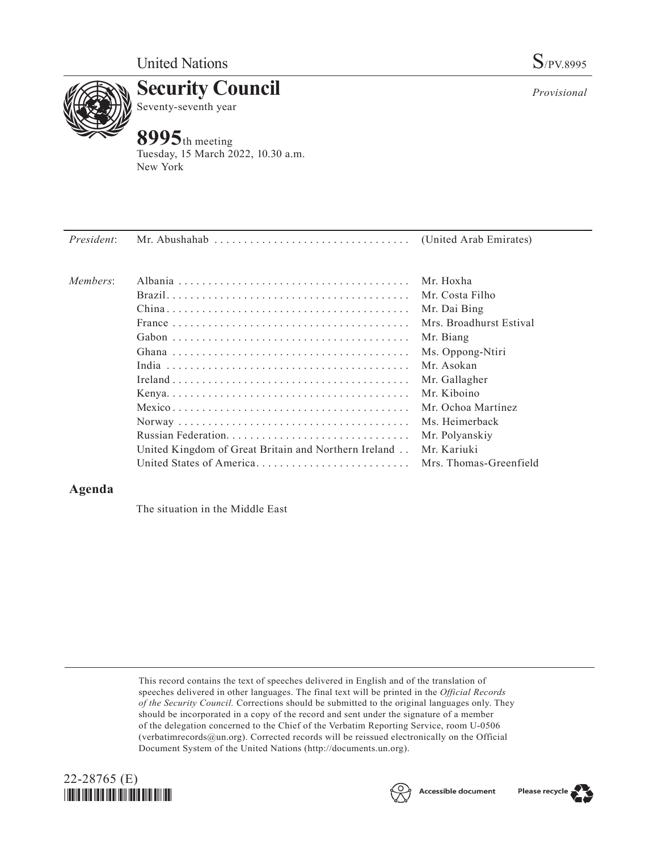

**Security Council** Seventy-seventh year

## **8995**th meeting

Tuesday, 15 March 2022, 10.30 a.m. New York

| Members: |                                                                                       | Mr. Hoxha               |
|----------|---------------------------------------------------------------------------------------|-------------------------|
|          |                                                                                       | Mr. Costa Filho         |
|          |                                                                                       | Mr. Dai Bing            |
|          | France $\ldots \ldots \ldots \ldots \ldots \ldots \ldots \ldots \ldots \ldots \ldots$ | Mrs. Broadhurst Estival |
|          |                                                                                       | Mr. Biang               |
|          |                                                                                       | Ms. Oppong-Ntiri        |
|          |                                                                                       | Mr. Asokan              |
|          |                                                                                       | Mr. Gallagher           |
|          |                                                                                       | Mr. Kiboino             |
|          |                                                                                       | Mr. Ochoa Martínez      |
|          |                                                                                       | Ms. Heimerback          |
|          |                                                                                       | Mr. Polyanskiy          |

United Kingdom of Great Britain and Northern Ireland. . Mr. Kariuki

United States of America. . Mrs. Thomas-Greenfield

## **Agenda**

The situation in the Middle East

This record contains the text of speeches delivered in English and of the translation of speeches delivered in other languages. The final text will be printed in the *Official Records of the Security Council.* Corrections should be submitted to the original languages only. They should be incorporated in a copy of the record and sent under the signature of a member of the delegation concerned to the Chief of the Verbatim Reporting Service, room U-0506 (verbatimrecords@un.org). Corrected records will be reissued electronically on the Official Document System of the United Nations (http://documents.un.org).







*Provisional*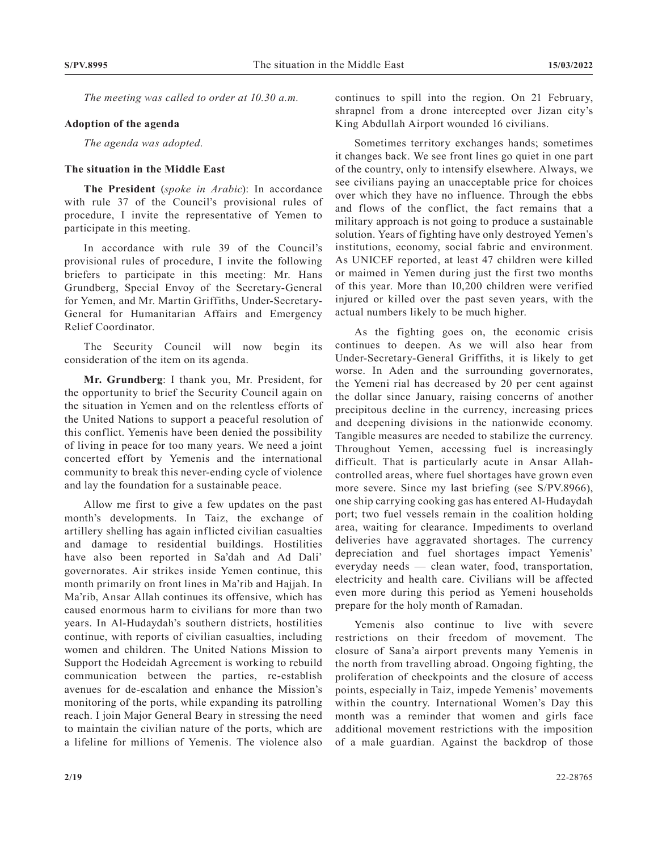*The meeting was called to order at 10.30 a.m.*

## **Adoption of the agenda**

*The agenda was adopted.*

## **The situation in the Middle East**

**The President** (*spoke in Arabic*): In accordance with rule 37 of the Council's provisional rules of procedure, I invite the representative of Yemen to participate in this meeting.

In accordance with rule 39 of the Council's provisional rules of procedure, I invite the following briefers to participate in this meeting: Mr. Hans Grundberg, Special Envoy of the Secretary-General for Yemen, and Mr. Martin Griffiths, Under-Secretary-General for Humanitarian Affairs and Emergency Relief Coordinator.

The Security Council will now begin its consideration of the item on its agenda.

**Mr. Grundberg**: I thank you, Mr. President, for the opportunity to brief the Security Council again on the situation in Yemen and on the relentless efforts of the United Nations to support a peaceful resolution of this conflict. Yemenis have been denied the possibility of living in peace for too many years. We need a joint concerted effort by Yemenis and the international community to break this never-ending cycle of violence and lay the foundation for a sustainable peace.

Allow me first to give a few updates on the past month's developments. In Taiz, the exchange of artillery shelling has again inflicted civilian casualties and damage to residential buildings. Hostilities have also been reported in Sa'dah and Ad Dali' governorates. Air strikes inside Yemen continue, this month primarily on front lines in Ma'rib and Hajjah. In Ma'rib, Ansar Allah continues its offensive, which has caused enormous harm to civilians for more than two years. In Al-Hudaydah's southern districts, hostilities continue, with reports of civilian casualties, including women and children. The United Nations Mission to Support the Hodeidah Agreement is working to rebuild communication between the parties, re-establish avenues for de-escalation and enhance the Mission's monitoring of the ports, while expanding its patrolling reach. I join Major General Beary in stressing the need to maintain the civilian nature of the ports, which are a lifeline for millions of Yemenis. The violence also

continues to spill into the region. On 21 February, shrapnel from a drone intercepted over Jizan city's King Abdullah Airport wounded 16 civilians.

Sometimes territory exchanges hands; sometimes it changes back. We see front lines go quiet in one part of the country, only to intensify elsewhere. Always, we see civilians paying an unacceptable price for choices over which they have no influence. Through the ebbs and flows of the conflict, the fact remains that a military approach is not going to produce a sustainable solution. Years of fighting have only destroyed Yemen's institutions, economy, social fabric and environment. As UNICEF reported, at least 47 children were killed or maimed in Yemen during just the first two months of this year. More than 10,200 children were verified injured or killed over the past seven years, with the actual numbers likely to be much higher.

As the fighting goes on, the economic crisis continues to deepen. As we will also hear from Under-Secretary-General Griffiths, it is likely to get worse. In Aden and the surrounding governorates, the Yemeni rial has decreased by 20 per cent against the dollar since January, raising concerns of another precipitous decline in the currency, increasing prices and deepening divisions in the nationwide economy. Tangible measures are needed to stabilize the currency. Throughout Yemen, accessing fuel is increasingly difficult. That is particularly acute in Ansar Allahcontrolled areas, where fuel shortages have grown even more severe. Since my last briefing (see S/PV.8966), one ship carrying cooking gas has entered Al-Hudaydah port; two fuel vessels remain in the coalition holding area, waiting for clearance. Impediments to overland deliveries have aggravated shortages. The currency depreciation and fuel shortages impact Yemenis' everyday needs — clean water, food, transportation, electricity and health care. Civilians will be affected even more during this period as Yemeni households prepare for the holy month of Ramadan.

Yemenis also continue to live with severe restrictions on their freedom of movement. The closure of Sana'a airport prevents many Yemenis in the north from travelling abroad. Ongoing fighting, the proliferation of checkpoints and the closure of access points, especially in Taiz, impede Yemenis' movements within the country. International Women's Day this month was a reminder that women and girls face additional movement restrictions with the imposition of a male guardian. Against the backdrop of those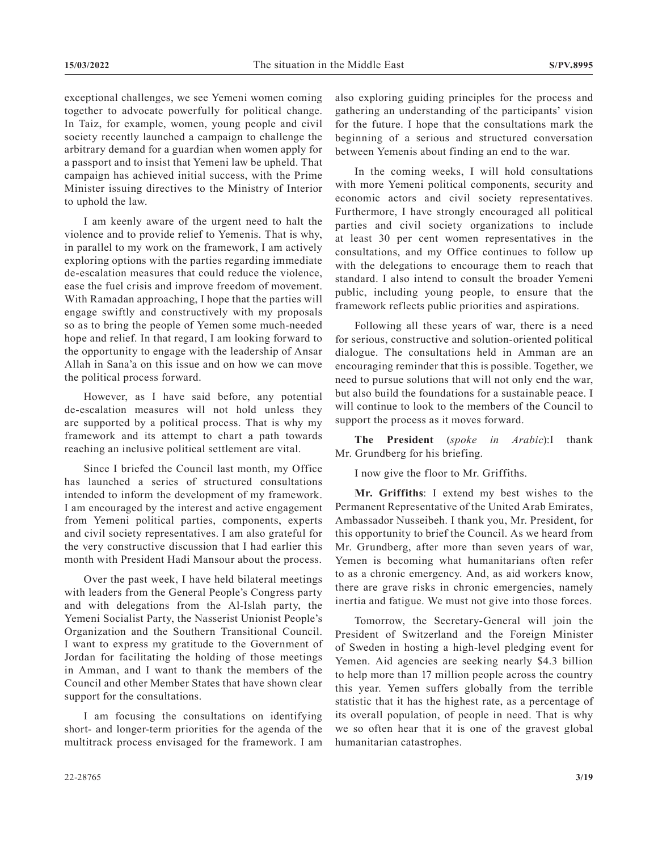exceptional challenges, we see Yemeni women coming together to advocate powerfully for political change. In Taiz, for example, women, young people and civil society recently launched a campaign to challenge the arbitrary demand for a guardian when women apply for a passport and to insist that Yemeni law be upheld. That campaign has achieved initial success, with the Prime Minister issuing directives to the Ministry of Interior to uphold the law.

I am keenly aware of the urgent need to halt the violence and to provide relief to Yemenis. That is why, in parallel to my work on the framework, I am actively exploring options with the parties regarding immediate de-escalation measures that could reduce the violence, ease the fuel crisis and improve freedom of movement. With Ramadan approaching, I hope that the parties will engage swiftly and constructively with my proposals so as to bring the people of Yemen some much-needed hope and relief. In that regard, I am looking forward to the opportunity to engage with the leadership of Ansar Allah in Sana'a on this issue and on how we can move the political process forward.

However, as I have said before, any potential de-escalation measures will not hold unless they are supported by a political process. That is why my framework and its attempt to chart a path towards reaching an inclusive political settlement are vital.

Since I briefed the Council last month, my Office has launched a series of structured consultations intended to inform the development of my framework. I am encouraged by the interest and active engagement from Yemeni political parties, components, experts and civil society representatives. I am also grateful for the very constructive discussion that I had earlier this month with President Hadi Mansour about the process.

Over the past week, I have held bilateral meetings with leaders from the General People's Congress party and with delegations from the Al-Islah party, the Yemeni Socialist Party, the Nasserist Unionist People's Organization and the Southern Transitional Council. I want to express my gratitude to the Government of Jordan for facilitating the holding of those meetings in Amman, and I want to thank the members of the Council and other Member States that have shown clear support for the consultations.

I am focusing the consultations on identifying short- and longer-term priorities for the agenda of the multitrack process envisaged for the framework. I am also exploring guiding principles for the process and gathering an understanding of the participants' vision for the future. I hope that the consultations mark the beginning of a serious and structured conversation between Yemenis about finding an end to the war.

In the coming weeks, I will hold consultations with more Yemeni political components, security and economic actors and civil society representatives. Furthermore, I have strongly encouraged all political parties and civil society organizations to include at least 30 per cent women representatives in the consultations, and my Office continues to follow up with the delegations to encourage them to reach that standard. I also intend to consult the broader Yemeni public, including young people, to ensure that the framework reflects public priorities and aspirations.

Following all these years of war, there is a need for serious, constructive and solution-oriented political dialogue. The consultations held in Amman are an encouraging reminder that this is possible. Together, we need to pursue solutions that will not only end the war, but also build the foundations for a sustainable peace. I will continue to look to the members of the Council to support the process as it moves forward.

**The President** (*spoke in Arabic*):I thank Mr. Grundberg for his briefing.

I now give the floor to Mr. Griffiths.

**Mr. Griffiths**: I extend my best wishes to the Permanent Representative of the United Arab Emirates, Ambassador Nusseibeh. I thank you, Mr. President, for this opportunity to brief the Council. As we heard from Mr. Grundberg, after more than seven years of war, Yemen is becoming what humanitarians often refer to as a chronic emergency. And, as aid workers know, there are grave risks in chronic emergencies, namely inertia and fatigue. We must not give into those forces.

Tomorrow, the Secretary-General will join the President of Switzerland and the Foreign Minister of Sweden in hosting a high-level pledging event for Yemen. Aid agencies are seeking nearly \$4.3 billion to help more than 17 million people across the country this year. Yemen suffers globally from the terrible statistic that it has the highest rate, as a percentage of its overall population, of people in need. That is why we so often hear that it is one of the gravest global humanitarian catastrophes.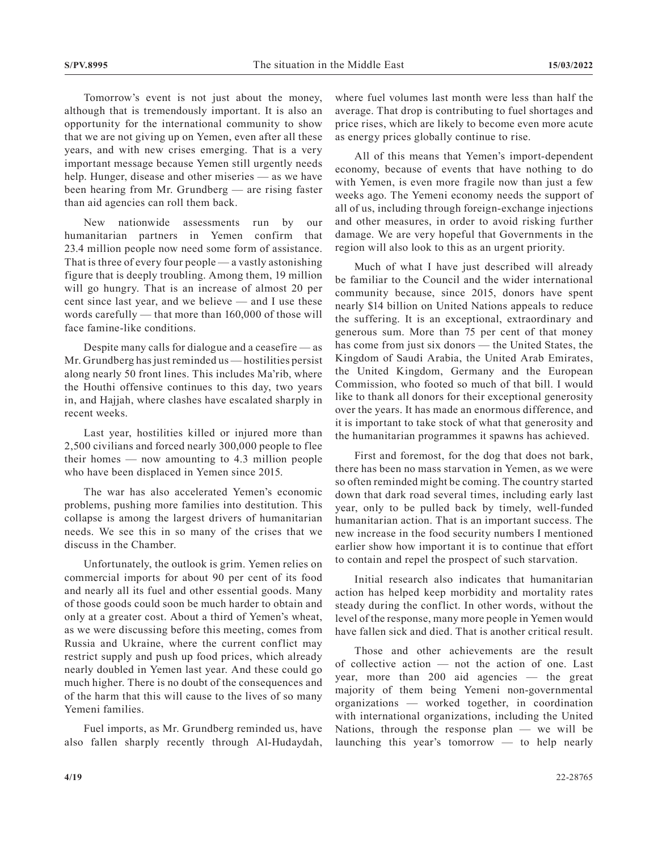Tomorrow's event is not just about the money, although that is tremendously important. It is also an opportunity for the international community to show that we are not giving up on Yemen, even after all these years, and with new crises emerging. That is a very important message because Yemen still urgently needs help. Hunger, disease and other miseries — as we have been hearing from Mr. Grundberg — are rising faster than aid agencies can roll them back.

New nationwide assessments run by our humanitarian partners in Yemen confirm that 23.4 million people now need some form of assistance. That is three of every four people — a vastly astonishing figure that is deeply troubling. Among them, 19 million will go hungry. That is an increase of almost 20 per cent since last year, and we believe — and I use these words carefully — that more than 160,000 of those will face famine-like conditions.

Despite many calls for dialogue and a ceasefire — as Mr. Grundberg has just reminded us — hostilities persist along nearly 50 front lines. This includes Ma'rib, where the Houthi offensive continues to this day, two years in, and Hajjah, where clashes have escalated sharply in recent weeks.

Last year, hostilities killed or injured more than 2,500 civilians and forced nearly 300,000 people to flee their homes — now amounting to 4.3 million people who have been displaced in Yemen since 2015.

The war has also accelerated Yemen's economic problems, pushing more families into destitution. This collapse is among the largest drivers of humanitarian needs. We see this in so many of the crises that we discuss in the Chamber.

Unfortunately, the outlook is grim. Yemen relies on commercial imports for about 90 per cent of its food and nearly all its fuel and other essential goods. Many of those goods could soon be much harder to obtain and only at a greater cost. About a third of Yemen's wheat, as we were discussing before this meeting, comes from Russia and Ukraine, where the current conflict may restrict supply and push up food prices, which already nearly doubled in Yemen last year. And these could go much higher. There is no doubt of the consequences and of the harm that this will cause to the lives of so many Yemeni families.

Fuel imports, as Mr. Grundberg reminded us, have also fallen sharply recently through Al-Hudaydah,

where fuel volumes last month were less than half the average. That drop is contributing to fuel shortages and price rises, which are likely to become even more acute as energy prices globally continue to rise.

All of this means that Yemen's import-dependent economy, because of events that have nothing to do with Yemen, is even more fragile now than just a few weeks ago. The Yemeni economy needs the support of all of us, including through foreign-exchange injections and other measures, in order to avoid risking further damage. We are very hopeful that Governments in the region will also look to this as an urgent priority.

Much of what I have just described will already be familiar to the Council and the wider international community because, since 2015, donors have spent nearly \$14 billion on United Nations appeals to reduce the suffering. It is an exceptional, extraordinary and generous sum. More than 75 per cent of that money has come from just six donors — the United States, the Kingdom of Saudi Arabia, the United Arab Emirates, the United Kingdom, Germany and the European Commission, who footed so much of that bill. I would like to thank all donors for their exceptional generosity over the years. It has made an enormous difference, and it is important to take stock of what that generosity and the humanitarian programmes it spawns has achieved.

First and foremost, for the dog that does not bark, there has been no mass starvation in Yemen, as we were so often reminded might be coming. The country started down that dark road several times, including early last year, only to be pulled back by timely, well-funded humanitarian action. That is an important success. The new increase in the food security numbers I mentioned earlier show how important it is to continue that effort to contain and repel the prospect of such starvation.

Initial research also indicates that humanitarian action has helped keep morbidity and mortality rates steady during the conflict. In other words, without the level of the response, many more people in Yemen would have fallen sick and died. That is another critical result.

Those and other achievements are the result of collective action — not the action of one. Last year, more than 200 aid agencies — the great majority of them being Yemeni non-governmental organizations — worked together, in coordination with international organizations, including the United Nations, through the response plan — we will be launching this year's tomorrow — to help nearly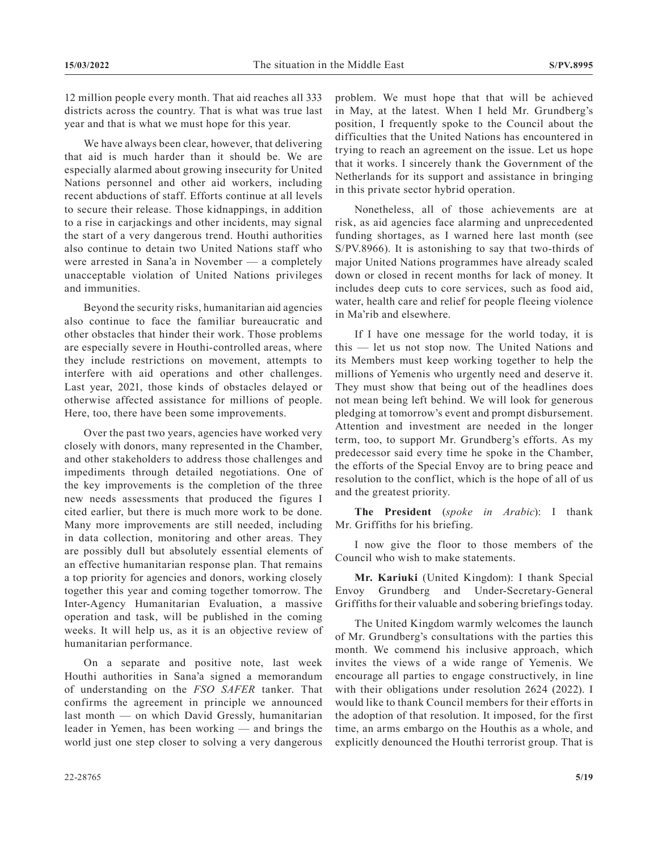12 million people every month. That aid reaches all 333 districts across the country. That is what was true last year and that is what we must hope for this year.

We have always been clear, however, that delivering that aid is much harder than it should be. We are especially alarmed about growing insecurity for United Nations personnel and other aid workers, including recent abductions of staff. Efforts continue at all levels to secure their release. Those kidnappings, in addition to a rise in carjackings and other incidents, may signal the start of a very dangerous trend. Houthi authorities also continue to detain two United Nations staff who were arrested in Sana'a in November — a completely unacceptable violation of United Nations privileges and immunities.

Beyond the security risks, humanitarian aid agencies also continue to face the familiar bureaucratic and other obstacles that hinder their work. Those problems are especially severe in Houthi-controlled areas, where they include restrictions on movement, attempts to interfere with aid operations and other challenges. Last year, 2021, those kinds of obstacles delayed or otherwise affected assistance for millions of people. Here, too, there have been some improvements.

Over the past two years, agencies have worked very closely with donors, many represented in the Chamber, and other stakeholders to address those challenges and impediments through detailed negotiations. One of the key improvements is the completion of the three new needs assessments that produced the figures I cited earlier, but there is much more work to be done. Many more improvements are still needed, including in data collection, monitoring and other areas. They are possibly dull but absolutely essential elements of an effective humanitarian response plan. That remains a top priority for agencies and donors, working closely together this year and coming together tomorrow. The Inter-Agency Humanitarian Evaluation, a massive operation and task, will be published in the coming weeks. It will help us, as it is an objective review of humanitarian performance.

On a separate and positive note, last week Houthi authorities in Sana'a signed a memorandum of understanding on the *FSO SAFER* tanker. That confirms the agreement in principle we announced last month — on which David Gressly, humanitarian leader in Yemen, has been working — and brings the world just one step closer to solving a very dangerous

problem. We must hope that that will be achieved in May, at the latest. When I held Mr. Grundberg's position, I frequently spoke to the Council about the difficulties that the United Nations has encountered in trying to reach an agreement on the issue. Let us hope that it works. I sincerely thank the Government of the Netherlands for its support and assistance in bringing in this private sector hybrid operation.

Nonetheless, all of those achievements are at risk, as aid agencies face alarming and unprecedented funding shortages, as I warned here last month (see S/PV.8966). It is astonishing to say that two-thirds of major United Nations programmes have already scaled down or closed in recent months for lack of money. It includes deep cuts to core services, such as food aid, water, health care and relief for people fleeing violence in Ma'rib and elsewhere.

If I have one message for the world today, it is this — let us not stop now. The United Nations and its Members must keep working together to help the millions of Yemenis who urgently need and deserve it. They must show that being out of the headlines does not mean being left behind. We will look for generous pledging at tomorrow's event and prompt disbursement. Attention and investment are needed in the longer term, too, to support Mr. Grundberg's efforts. As my predecessor said every time he spoke in the Chamber, the efforts of the Special Envoy are to bring peace and resolution to the conflict, which is the hope of all of us and the greatest priority.

**The President** (*spoke in Arabic*): I thank Mr. Griffiths for his briefing.

I now give the floor to those members of the Council who wish to make statements.

**Mr. Kariuki** (United Kingdom): I thank Special Envoy Grundberg and Under-Secretary-General Griffiths for their valuable and sobering briefings today.

The United Kingdom warmly welcomes the launch of Mr. Grundberg's consultations with the parties this month. We commend his inclusive approach, which invites the views of a wide range of Yemenis. We encourage all parties to engage constructively, in line with their obligations under resolution 2624 (2022). I would like to thank Council members for their efforts in the adoption of that resolution. It imposed, for the first time, an arms embargo on the Houthis as a whole, and explicitly denounced the Houthi terrorist group. That is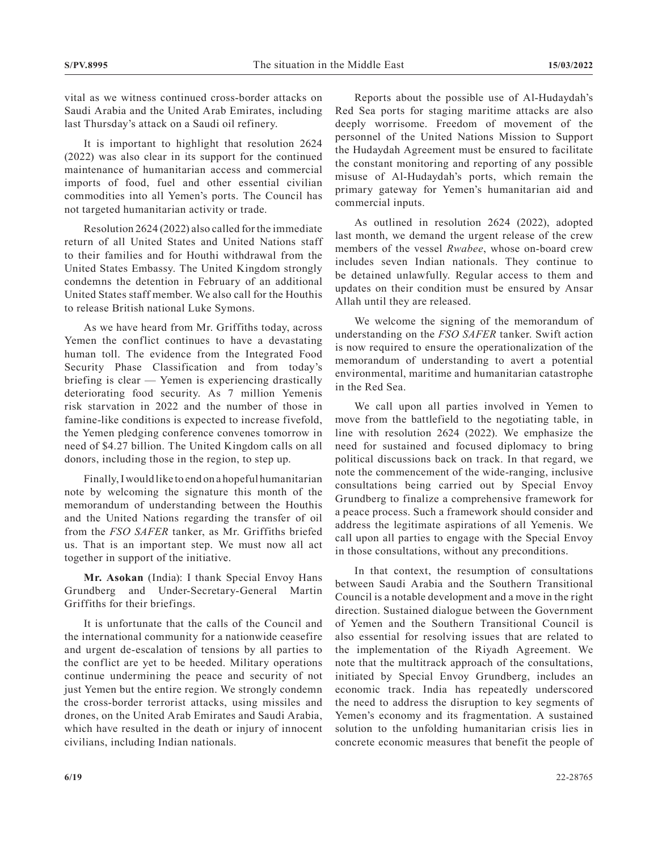vital as we witness continued cross-border attacks on Saudi Arabia and the United Arab Emirates, including last Thursday's attack on a Saudi oil refinery.

It is important to highlight that resolution 2624 (2022) was also clear in its support for the continued maintenance of humanitarian access and commercial imports of food, fuel and other essential civilian commodities into all Yemen's ports. The Council has not targeted humanitarian activity or trade.

Resolution 2624 (2022) also called for the immediate return of all United States and United Nations staff to their families and for Houthi withdrawal from the United States Embassy. The United Kingdom strongly condemns the detention in February of an additional United States staff member. We also call for the Houthis to release British national Luke Symons.

As we have heard from Mr. Griffiths today, across Yemen the conflict continues to have a devastating human toll. The evidence from the Integrated Food Security Phase Classification and from today's briefing is clear — Yemen is experiencing drastically deteriorating food security. As 7 million Yemenis risk starvation in 2022 and the number of those in famine-like conditions is expected to increase fivefold, the Yemen pledging conference convenes tomorrow in need of \$4.27 billion. The United Kingdom calls on all donors, including those in the region, to step up.

Finally, I would like to end on a hopeful humanitarian note by welcoming the signature this month of the memorandum of understanding between the Houthis and the United Nations regarding the transfer of oil from the *FSO SAFER* tanker, as Mr. Griffiths briefed us. That is an important step. We must now all act together in support of the initiative.

**Mr. Asokan** (India): I thank Special Envoy Hans Grundberg and Under-Secretary-General Martin Griffiths for their briefings.

It is unfortunate that the calls of the Council and the international community for a nationwide ceasefire and urgent de-escalation of tensions by all parties to the conflict are yet to be heeded. Military operations continue undermining the peace and security of not just Yemen but the entire region. We strongly condemn the cross-border terrorist attacks, using missiles and drones, on the United Arab Emirates and Saudi Arabia, which have resulted in the death or injury of innocent civilians, including Indian nationals.

Reports about the possible use of Al-Hudaydah's Red Sea ports for staging maritime attacks are also deeply worrisome. Freedom of movement of the personnel of the United Nations Mission to Support the Hudaydah Agreement must be ensured to facilitate the constant monitoring and reporting of any possible misuse of Al-Hudaydah's ports, which remain the primary gateway for Yemen's humanitarian aid and commercial inputs.

As outlined in resolution 2624 (2022), adopted last month, we demand the urgent release of the crew members of the vessel *Rwabee*, whose on-board crew includes seven Indian nationals. They continue to be detained unlawfully. Regular access to them and updates on their condition must be ensured by Ansar Allah until they are released.

We welcome the signing of the memorandum of understanding on the *FSO SAFER* tanker. Swift action is now required to ensure the operationalization of the memorandum of understanding to avert a potential environmental, maritime and humanitarian catastrophe in the Red Sea.

We call upon all parties involved in Yemen to move from the battlefield to the negotiating table, in line with resolution 2624 (2022). We emphasize the need for sustained and focused diplomacy to bring political discussions back on track. In that regard, we note the commencement of the wide-ranging, inclusive consultations being carried out by Special Envoy Grundberg to finalize a comprehensive framework for a peace process. Such a framework should consider and address the legitimate aspirations of all Yemenis. We call upon all parties to engage with the Special Envoy in those consultations, without any preconditions.

In that context, the resumption of consultations between Saudi Arabia and the Southern Transitional Council is a notable development and a move in the right direction. Sustained dialogue between the Government of Yemen and the Southern Transitional Council is also essential for resolving issues that are related to the implementation of the Riyadh Agreement. We note that the multitrack approach of the consultations, initiated by Special Envoy Grundberg, includes an economic track. India has repeatedly underscored the need to address the disruption to key segments of Yemen's economy and its fragmentation. A sustained solution to the unfolding humanitarian crisis lies in concrete economic measures that benefit the people of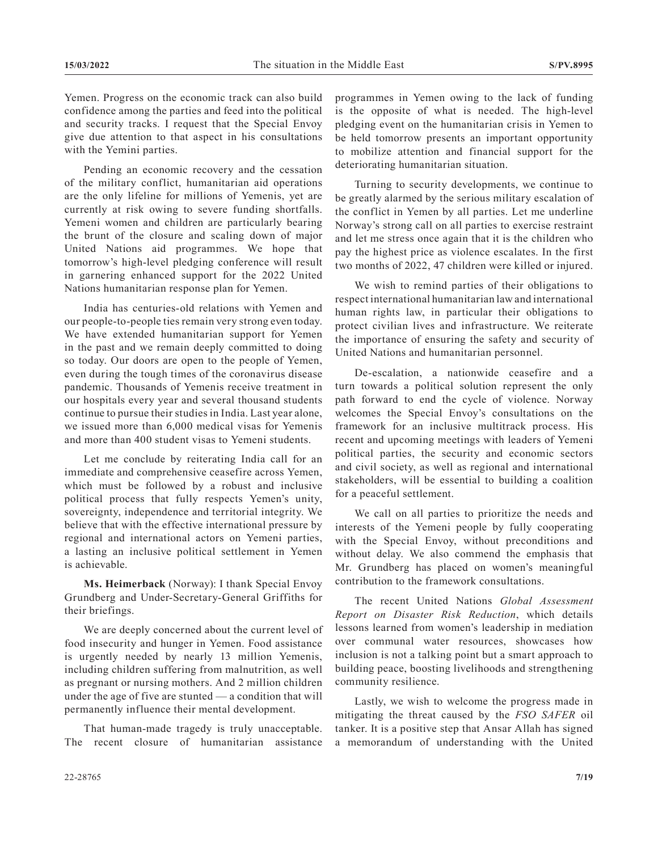Yemen. Progress on the economic track can also build confidence among the parties and feed into the political and security tracks. I request that the Special Envoy give due attention to that aspect in his consultations with the Yemini parties.

Pending an economic recovery and the cessation of the military conflict, humanitarian aid operations are the only lifeline for millions of Yemenis, yet are currently at risk owing to severe funding shortfalls. Yemeni women and children are particularly bearing the brunt of the closure and scaling down of major United Nations aid programmes. We hope that tomorrow's high-level pledging conference will result in garnering enhanced support for the 2022 United Nations humanitarian response plan for Yemen.

India has centuries-old relations with Yemen and our people-to-people ties remain very strong even today. We have extended humanitarian support for Yemen in the past and we remain deeply committed to doing so today. Our doors are open to the people of Yemen, even during the tough times of the coronavirus disease pandemic. Thousands of Yemenis receive treatment in our hospitals every year and several thousand students continue to pursue their studies in India. Last year alone, we issued more than 6,000 medical visas for Yemenis and more than 400 student visas to Yemeni students.

Let me conclude by reiterating India call for an immediate and comprehensive ceasefire across Yemen, which must be followed by a robust and inclusive political process that fully respects Yemen's unity, sovereignty, independence and territorial integrity. We believe that with the effective international pressure by regional and international actors on Yemeni parties, a lasting an inclusive political settlement in Yemen is achievable.

**Ms. Heimerback** (Norway): I thank Special Envoy Grundberg and Under-Secretary-General Griffiths for their briefings.

We are deeply concerned about the current level of food insecurity and hunger in Yemen. Food assistance is urgently needed by nearly 13 million Yemenis, including children suffering from malnutrition, as well as pregnant or nursing mothers. And 2 million children under the age of five are stunted — a condition that will permanently influence their mental development.

That human-made tragedy is truly unacceptable. The recent closure of humanitarian assistance programmes in Yemen owing to the lack of funding is the opposite of what is needed. The high-level pledging event on the humanitarian crisis in Yemen to be held tomorrow presents an important opportunity to mobilize attention and financial support for the deteriorating humanitarian situation.

Turning to security developments, we continue to be greatly alarmed by the serious military escalation of the conflict in Yemen by all parties. Let me underline Norway's strong call on all parties to exercise restraint and let me stress once again that it is the children who pay the highest price as violence escalates. In the first two months of 2022, 47 children were killed or injured.

We wish to remind parties of their obligations to respect international humanitarian law and international human rights law, in particular their obligations to protect civilian lives and infrastructure. We reiterate the importance of ensuring the safety and security of United Nations and humanitarian personnel.

De-escalation, a nationwide ceasefire and a turn towards a political solution represent the only path forward to end the cycle of violence. Norway welcomes the Special Envoy's consultations on the framework for an inclusive multitrack process. His recent and upcoming meetings with leaders of Yemeni political parties, the security and economic sectors and civil society, as well as regional and international stakeholders, will be essential to building a coalition for a peaceful settlement.

We call on all parties to prioritize the needs and interests of the Yemeni people by fully cooperating with the Special Envoy, without preconditions and without delay. We also commend the emphasis that Mr. Grundberg has placed on women's meaningful contribution to the framework consultations.

The recent United Nations *Global Assessment Report on Disaster Risk Reduction*, which details lessons learned from women's leadership in mediation over communal water resources, showcases how inclusion is not a talking point but a smart approach to building peace, boosting livelihoods and strengthening community resilience.

Lastly, we wish to welcome the progress made in mitigating the threat caused by the *FSO SAFER* oil tanker. It is a positive step that Ansar Allah has signed a memorandum of understanding with the United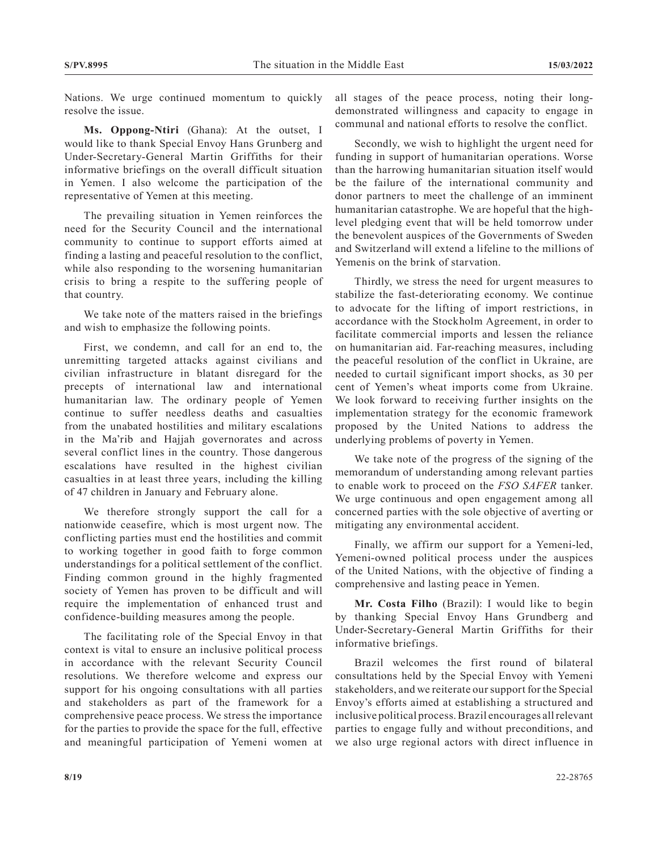Nations. We urge continued momentum to quickly resolve the issue.

**Ms. Oppong-Ntiri** (Ghana): At the outset, I would like to thank Special Envoy Hans Grunberg and Under-Secretary-General Martin Griffiths for their informative briefings on the overall difficult situation in Yemen. I also welcome the participation of the representative of Yemen at this meeting.

The prevailing situation in Yemen reinforces the need for the Security Council and the international community to continue to support efforts aimed at finding a lasting and peaceful resolution to the conflict, while also responding to the worsening humanitarian crisis to bring a respite to the suffering people of that country.

We take note of the matters raised in the briefings and wish to emphasize the following points.

First, we condemn, and call for an end to, the unremitting targeted attacks against civilians and civilian infrastructure in blatant disregard for the precepts of international law and international humanitarian law. The ordinary people of Yemen continue to suffer needless deaths and casualties from the unabated hostilities and military escalations in the Ma'rib and Hajjah governorates and across several conflict lines in the country. Those dangerous escalations have resulted in the highest civilian casualties in at least three years, including the killing of 47 children in January and February alone.

We therefore strongly support the call for a nationwide ceasefire, which is most urgent now. The conflicting parties must end the hostilities and commit to working together in good faith to forge common understandings for a political settlement of the conflict. Finding common ground in the highly fragmented society of Yemen has proven to be difficult and will require the implementation of enhanced trust and confidence-building measures among the people.

The facilitating role of the Special Envoy in that context is vital to ensure an inclusive political process in accordance with the relevant Security Council resolutions. We therefore welcome and express our support for his ongoing consultations with all parties and stakeholders as part of the framework for a comprehensive peace process. We stress the importance for the parties to provide the space for the full, effective and meaningful participation of Yemeni women at

all stages of the peace process, noting their longdemonstrated willingness and capacity to engage in communal and national efforts to resolve the conflict.

Secondly, we wish to highlight the urgent need for funding in support of humanitarian operations. Worse than the harrowing humanitarian situation itself would be the failure of the international community and donor partners to meet the challenge of an imminent humanitarian catastrophe. We are hopeful that the highlevel pledging event that will be held tomorrow under the benevolent auspices of the Governments of Sweden and Switzerland will extend a lifeline to the millions of Yemenis on the brink of starvation.

Thirdly, we stress the need for urgent measures to stabilize the fast-deteriorating economy. We continue to advocate for the lifting of import restrictions, in accordance with the Stockholm Agreement, in order to facilitate commercial imports and lessen the reliance on humanitarian aid. Far-reaching measures, including the peaceful resolution of the conflict in Ukraine, are needed to curtail significant import shocks, as 30 per cent of Yemen's wheat imports come from Ukraine. We look forward to receiving further insights on the implementation strategy for the economic framework proposed by the United Nations to address the underlying problems of poverty in Yemen.

We take note of the progress of the signing of the memorandum of understanding among relevant parties to enable work to proceed on the *FSO SAFER* tanker. We urge continuous and open engagement among all concerned parties with the sole objective of averting or mitigating any environmental accident.

Finally, we affirm our support for a Yemeni-led, Yemeni-owned political process under the auspices of the United Nations, with the objective of finding a comprehensive and lasting peace in Yemen.

**Mr. Costa Filho** (Brazil): I would like to begin by thanking Special Envoy Hans Grundberg and Under-Secretary-General Martin Griffiths for their informative briefings.

Brazil welcomes the first round of bilateral consultations held by the Special Envoy with Yemeni stakeholders, and we reiterate our support for the Special Envoy's efforts aimed at establishing a structured and inclusive political process. Brazil encourages all relevant parties to engage fully and without preconditions, and we also urge regional actors with direct influence in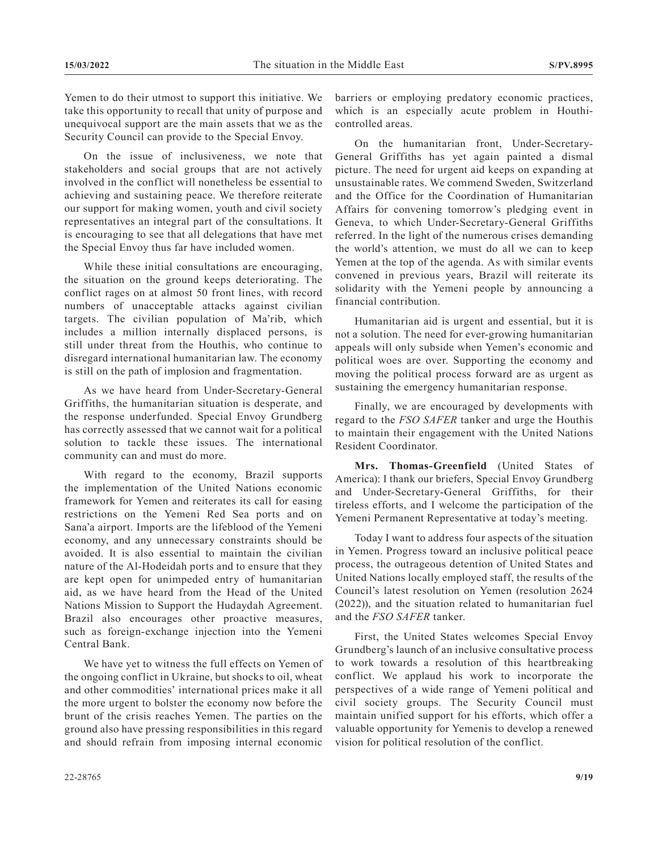Yemen to do their utmost to support this initiative. We take this opportunity to recall that unity of purpose and unequivocal support are the main assets that we as the Security Council can provide to the Special Envoy.

On the issue of inclusiveness, we note that stakeholders and social groups that are not actively involved in the conflict will nonetheless be essential to achieving and sustaining peace. We therefore reiterate our support for making women, youth and civil society representatives an integral part of the consultations. It is encouraging to see that all delegations that have met the Special Envoy thus far have included women.

While these initial consultations are encouraging, the situation on the ground keeps deteriorating. The conflict rages on at almost 50 front lines, with record numbers of unacceptable attacks against civilian targets. The civilian population of Ma'rib, which includes a million internally displaced persons, is still under threat from the Houthis, who continue to disregard international humanitarian law. The economy is still on the path of implosion and fragmentation.

As we have heard from Under-Secretary-General Griffiths, the humanitarian situation is desperate, and the response underfunded. Special Envoy Grundberg has correctly assessed that we cannot wait for a political solution to tackle these issues. The international community can and must do more.

With regard to the economy, Brazil supports the implementation of the United Nations economic framework for Yemen and reiterates its call for easing restrictions on the Yemeni Red Sea ports and on Sana'a airport. Imports are the lifeblood of the Yemeni economy, and any unnecessary constraints should be avoided. It is also essential to maintain the civilian nature of the Al-Hodeidah ports and to ensure that they are kept open for unimpeded entry of humanitarian aid, as we have heard from the Head of the United Nations Mission to Support the Hudaydah Agreement. Brazil also encourages other proactive measures, such as foreign-exchange injection into the Yemeni Central Bank.

We have yet to witness the full effects on Yemen of the ongoing conflict in Ukraine, but shocks to oil, wheat and other commodities' international prices make it all the more urgent to bolster the economy now before the brunt of the crisis reaches Yemen. The parties on the ground also have pressing responsibilities in this regard and should refrain from imposing internal economic

barriers or employing predatory economic practices, which is an especially acute problem in Houthicontrolled areas.

On the humanitarian front, Under-Secretary-General Griffiths has yet again painted a dismal picture. The need for urgent aid keeps on expanding at unsustainable rates. We commend Sweden, Switzerland and the Office for the Coordination of Humanitarian Affairs for convening tomorrow's pledging event in Geneva, to which Under-Secretary-General Griffiths referred. In the light of the numerous crises demanding the world's attention, we must do all we can to keep Yemen at the top of the agenda. As with similar events convened in previous years, Brazil will reiterate its solidarity with the Yemeni people by announcing a financial contribution.

Humanitarian aid is urgent and essential, but it is not a solution. The need for ever-growing humanitarian appeals will only subside when Yemen's economic and political woes are over. Supporting the economy and moving the political process forward are as urgent as sustaining the emergency humanitarian response.

Finally, we are encouraged by developments with regard to the *FSO SAFER* tanker and urge the Houthis to maintain their engagement with the United Nations Resident Coordinator.

**Mrs. Thomas-Greenfield** (United States of America): I thank our briefers, Special Envoy Grundberg and Under-Secretary-General Griffiths, for their tireless efforts, and I welcome the participation of the Yemeni Permanent Representative at today's meeting.

Today I want to address four aspects of the situation in Yemen. Progress toward an inclusive political peace process, the outrageous detention of United States and United Nations locally employed staff, the results of the Council's latest resolution on Yemen (resolution 2624 (2022)), and the situation related to humanitarian fuel and the *FSO SAFER* tanker.

First, the United States welcomes Special Envoy Grundberg's launch of an inclusive consultative process to work towards a resolution of this heartbreaking conflict. We applaud his work to incorporate the perspectives of a wide range of Yemeni political and civil society groups. The Security Council must maintain unified support for his efforts, which offer a valuable opportunity for Yemenis to develop a renewed vision for political resolution of the conflict.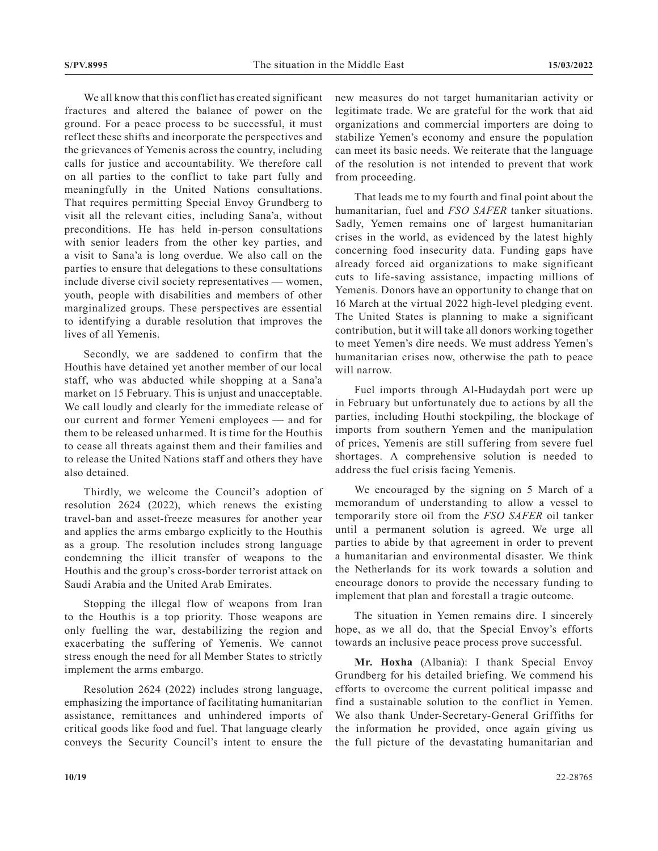We all know that this conflict has created significant fractures and altered the balance of power on the ground. For a peace process to be successful, it must reflect these shifts and incorporate the perspectives and the grievances of Yemenis across the country, including calls for justice and accountability. We therefore call on all parties to the conflict to take part fully and meaningfully in the United Nations consultations. That requires permitting Special Envoy Grundberg to visit all the relevant cities, including Sana'a, without preconditions. He has held in-person consultations with senior leaders from the other key parties, and a visit to Sana'a is long overdue. We also call on the parties to ensure that delegations to these consultations include diverse civil society representatives — women, youth, people with disabilities and members of other marginalized groups. These perspectives are essential to identifying a durable resolution that improves the lives of all Yemenis.

Secondly, we are saddened to confirm that the Houthis have detained yet another member of our local staff, who was abducted while shopping at a Sana'a market on 15 February. This is unjust and unacceptable. We call loudly and clearly for the immediate release of our current and former Yemeni employees — and for them to be released unharmed. It is time for the Houthis to cease all threats against them and their families and to release the United Nations staff and others they have also detained.

Thirdly, we welcome the Council's adoption of resolution 2624 (2022), which renews the existing travel-ban and asset-freeze measures for another year and applies the arms embargo explicitly to the Houthis as a group. The resolution includes strong language condemning the illicit transfer of weapons to the Houthis and the group's cross-border terrorist attack on Saudi Arabia and the United Arab Emirates.

Stopping the illegal flow of weapons from Iran to the Houthis is a top priority. Those weapons are only fuelling the war, destabilizing the region and exacerbating the suffering of Yemenis. We cannot stress enough the need for all Member States to strictly implement the arms embargo.

Resolution 2624 (2022) includes strong language, emphasizing the importance of facilitating humanitarian assistance, remittances and unhindered imports of critical goods like food and fuel. That language clearly conveys the Security Council's intent to ensure the

new measures do not target humanitarian activity or legitimate trade. We are grateful for the work that aid organizations and commercial importers are doing to stabilize Yemen's economy and ensure the population can meet its basic needs. We reiterate that the language of the resolution is not intended to prevent that work from proceeding.

That leads me to my fourth and final point about the humanitarian, fuel and *FSO SAFER* tanker situations. Sadly, Yemen remains one of largest humanitarian crises in the world, as evidenced by the latest highly concerning food insecurity data. Funding gaps have already forced aid organizations to make significant cuts to life-saving assistance, impacting millions of Yemenis. Donors have an opportunity to change that on 16 March at the virtual 2022 high-level pledging event. The United States is planning to make a significant contribution, but it will take all donors working together to meet Yemen's dire needs. We must address Yemen's humanitarian crises now, otherwise the path to peace will narrow.

Fuel imports through Al-Hudaydah port were up in February but unfortunately due to actions by all the parties, including Houthi stockpiling, the blockage of imports from southern Yemen and the manipulation of prices, Yemenis are still suffering from severe fuel shortages. A comprehensive solution is needed to address the fuel crisis facing Yemenis.

We encouraged by the signing on 5 March of a memorandum of understanding to allow a vessel to temporarily store oil from the *FSO SAFER* oil tanker until a permanent solution is agreed. We urge all parties to abide by that agreement in order to prevent a humanitarian and environmental disaster. We think the Netherlands for its work towards a solution and encourage donors to provide the necessary funding to implement that plan and forestall a tragic outcome.

The situation in Yemen remains dire. I sincerely hope, as we all do, that the Special Envoy's efforts towards an inclusive peace process prove successful.

**Mr. Hoxha** (Albania): I thank Special Envoy Grundberg for his detailed briefing. We commend his efforts to overcome the current political impasse and find a sustainable solution to the conflict in Yemen. We also thank Under-Secretary-General Griffiths for the information he provided, once again giving us the full picture of the devastating humanitarian and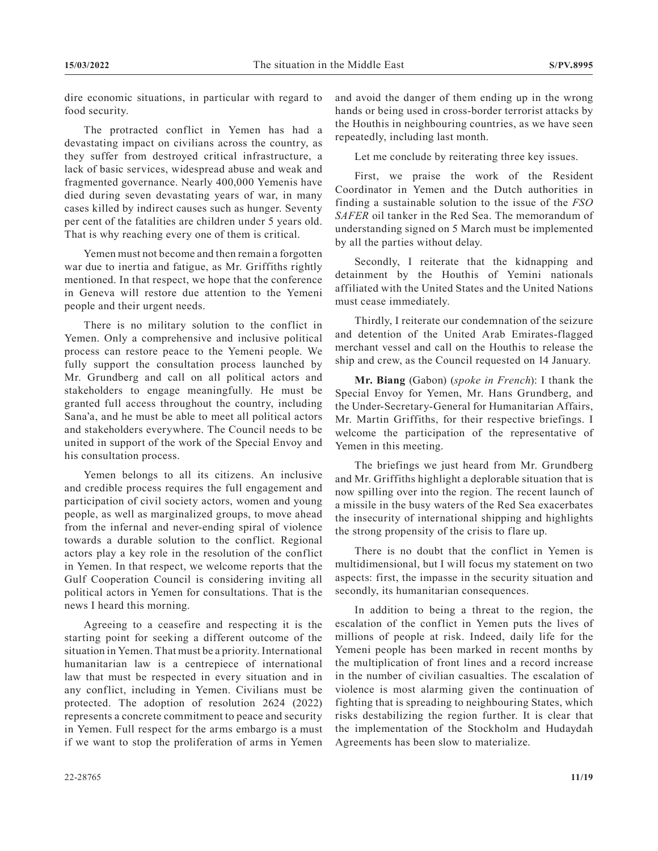dire economic situations, in particular with regard to food security.

The protracted conflict in Yemen has had a devastating impact on civilians across the country, as they suffer from destroyed critical infrastructure, a lack of basic services, widespread abuse and weak and fragmented governance. Nearly 400,000 Yemenis have died during seven devastating years of war, in many cases killed by indirect causes such as hunger. Seventy per cent of the fatalities are children under 5 years old. That is why reaching every one of them is critical.

Yemen must not become and then remain a forgotten war due to inertia and fatigue, as Mr. Griffiths rightly mentioned. In that respect, we hope that the conference in Geneva will restore due attention to the Yemeni people and their urgent needs.

There is no military solution to the conflict in Yemen. Only a comprehensive and inclusive political process can restore peace to the Yemeni people. We fully support the consultation process launched by Mr. Grundberg and call on all political actors and stakeholders to engage meaningfully. He must be granted full access throughout the country, including Sana'a, and he must be able to meet all political actors and stakeholders everywhere. The Council needs to be united in support of the work of the Special Envoy and his consultation process.

Yemen belongs to all its citizens. An inclusive and credible process requires the full engagement and participation of civil society actors, women and young people, as well as marginalized groups, to move ahead from the infernal and never-ending spiral of violence towards a durable solution to the conflict. Regional actors play a key role in the resolution of the conflict in Yemen. In that respect, we welcome reports that the Gulf Cooperation Council is considering inviting all political actors in Yemen for consultations. That is the news I heard this morning.

Agreeing to a ceasefire and respecting it is the starting point for seeking a different outcome of the situation in Yemen. That must be a priority. International humanitarian law is a centrepiece of international law that must be respected in every situation and in any conflict, including in Yemen. Civilians must be protected. The adoption of resolution 2624 (2022) represents a concrete commitment to peace and security in Yemen. Full respect for the arms embargo is a must if we want to stop the proliferation of arms in Yemen

and avoid the danger of them ending up in the wrong hands or being used in cross-border terrorist attacks by the Houthis in neighbouring countries, as we have seen repeatedly, including last month.

Let me conclude by reiterating three key issues.

First, we praise the work of the Resident Coordinator in Yemen and the Dutch authorities in finding a sustainable solution to the issue of the *FSO SAFER* oil tanker in the Red Sea. The memorandum of understanding signed on 5 March must be implemented by all the parties without delay.

Secondly, I reiterate that the kidnapping and detainment by the Houthis of Yemini nationals affiliated with the United States and the United Nations must cease immediately.

Thirdly, I reiterate our condemnation of the seizure and detention of the United Arab Emirates-flagged merchant vessel and call on the Houthis to release the ship and crew, as the Council requested on 14 January.

**Mr. Biang** (Gabon) (*spoke in French*): I thank the Special Envoy for Yemen, Mr. Hans Grundberg, and the Under-Secretary-General for Humanitarian Affairs, Mr. Martin Griffiths, for their respective briefings. I welcome the participation of the representative of Yemen in this meeting.

The briefings we just heard from Mr. Grundberg and Mr. Griffiths highlight a deplorable situation that is now spilling over into the region. The recent launch of a missile in the busy waters of the Red Sea exacerbates the insecurity of international shipping and highlights the strong propensity of the crisis to flare up.

There is no doubt that the conflict in Yemen is multidimensional, but I will focus my statement on two aspects: first, the impasse in the security situation and secondly, its humanitarian consequences.

In addition to being a threat to the region, the escalation of the conflict in Yemen puts the lives of millions of people at risk. Indeed, daily life for the Yemeni people has been marked in recent months by the multiplication of front lines and a record increase in the number of civilian casualties. The escalation of violence is most alarming given the continuation of fighting that is spreading to neighbouring States, which risks destabilizing the region further. It is clear that the implementation of the Stockholm and Hudaydah Agreements has been slow to materialize.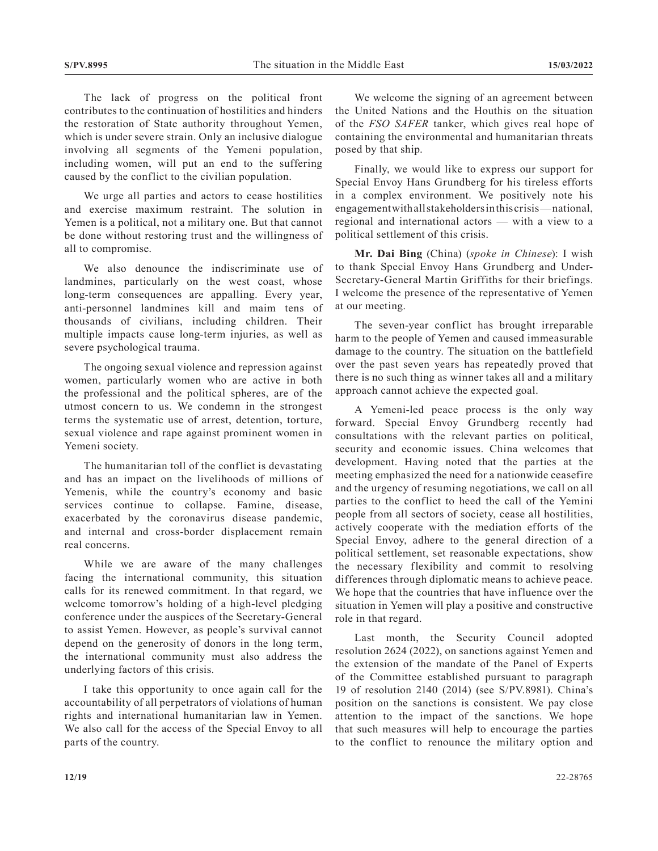The lack of progress on the political front contributes to the continuation of hostilities and hinders the restoration of State authority throughout Yemen, which is under severe strain. Only an inclusive dialogue involving all segments of the Yemeni population, including women, will put an end to the suffering caused by the conflict to the civilian population.

We urge all parties and actors to cease hostilities and exercise maximum restraint. The solution in Yemen is a political, not a military one. But that cannot be done without restoring trust and the willingness of all to compromise.

We also denounce the indiscriminate use of landmines, particularly on the west coast, whose long-term consequences are appalling. Every year, anti-personnel landmines kill and maim tens of thousands of civilians, including children. Their multiple impacts cause long-term injuries, as well as severe psychological trauma.

The ongoing sexual violence and repression against women, particularly women who are active in both the professional and the political spheres, are of the utmost concern to us. We condemn in the strongest terms the systematic use of arrest, detention, torture, sexual violence and rape against prominent women in Yemeni society.

The humanitarian toll of the conflict is devastating and has an impact on the livelihoods of millions of Yemenis, while the country's economy and basic services continue to collapse. Famine, disease, exacerbated by the coronavirus disease pandemic, and internal and cross-border displacement remain real concerns.

While we are aware of the many challenges facing the international community, this situation calls for its renewed commitment. In that regard, we welcome tomorrow's holding of a high-level pledging conference under the auspices of the Secretary-General to assist Yemen. However, as people's survival cannot depend on the generosity of donors in the long term, the international community must also address the underlying factors of this crisis.

I take this opportunity to once again call for the accountability of all perpetrators of violations of human rights and international humanitarian law in Yemen. We also call for the access of the Special Envoy to all parts of the country.

We welcome the signing of an agreement between the United Nations and the Houthis on the situation of the *FSO SAFER* tanker, which gives real hope of containing the environmental and humanitarian threats posed by that ship.

Finally, we would like to express our support for Special Envoy Hans Grundberg for his tireless efforts in a complex environment. We positively note his engagement with all stakeholders in this crisis— national, regional and international actors — with a view to a political settlement of this crisis.

**Mr. Dai Bing** (China) (*spoke in Chinese*): I wish to thank Special Envoy Hans Grundberg and Under-Secretary-General Martin Griffiths for their briefings. I welcome the presence of the representative of Yemen at our meeting.

The seven-year conflict has brought irreparable harm to the people of Yemen and caused immeasurable damage to the country. The situation on the battlefield over the past seven years has repeatedly proved that there is no such thing as winner takes all and a military approach cannot achieve the expected goal.

A Yemeni-led peace process is the only way forward. Special Envoy Grundberg recently had consultations with the relevant parties on political, security and economic issues. China welcomes that development. Having noted that the parties at the meeting emphasized the need for a nationwide ceasefire and the urgency of resuming negotiations, we call on all parties to the conflict to heed the call of the Yemini people from all sectors of society, cease all hostilities, actively cooperate with the mediation efforts of the Special Envoy, adhere to the general direction of a political settlement, set reasonable expectations, show the necessary flexibility and commit to resolving differences through diplomatic means to achieve peace. We hope that the countries that have influence over the situation in Yemen will play a positive and constructive role in that regard.

Last month, the Security Council adopted resolution 2624 (2022), on sanctions against Yemen and the extension of the mandate of the Panel of Experts of the Committee established pursuant to paragraph 19 of resolution 2140 (2014) (see S/PV.8981). China's position on the sanctions is consistent. We pay close attention to the impact of the sanctions. We hope that such measures will help to encourage the parties to the conflict to renounce the military option and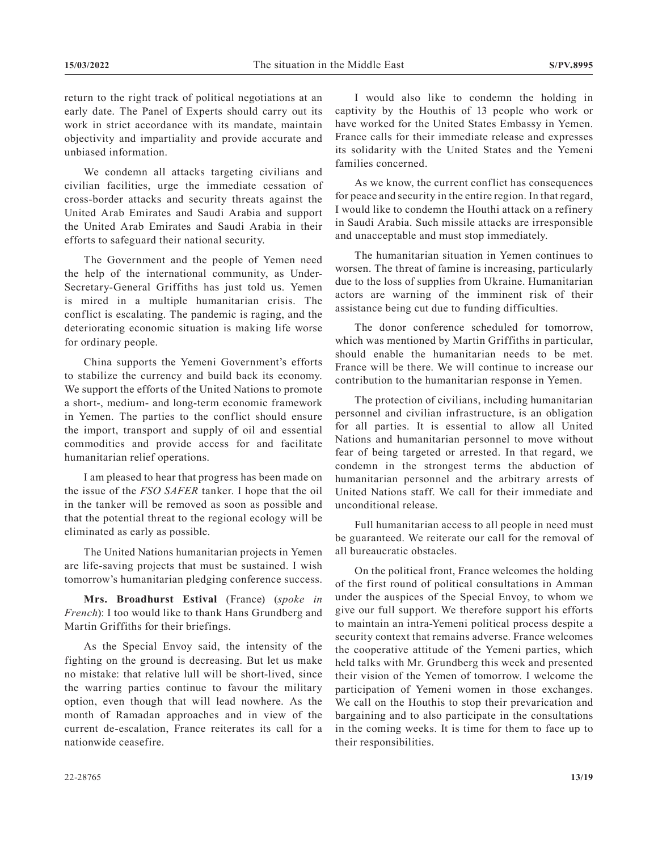return to the right track of political negotiations at an early date. The Panel of Experts should carry out its work in strict accordance with its mandate, maintain objectivity and impartiality and provide accurate and unbiased information.

We condemn all attacks targeting civilians and civilian facilities, urge the immediate cessation of cross-border attacks and security threats against the United Arab Emirates and Saudi Arabia and support the United Arab Emirates and Saudi Arabia in their efforts to safeguard their national security.

The Government and the people of Yemen need the help of the international community, as Under-Secretary-General Griffiths has just told us. Yemen is mired in a multiple humanitarian crisis. The conflict is escalating. The pandemic is raging, and the deteriorating economic situation is making life worse for ordinary people.

China supports the Yemeni Government's efforts to stabilize the currency and build back its economy. We support the efforts of the United Nations to promote a short-, medium- and long-term economic framework in Yemen. The parties to the conflict should ensure the import, transport and supply of oil and essential commodities and provide access for and facilitate humanitarian relief operations.

I am pleased to hear that progress has been made on the issue of the *FSO SAFER* tanker. I hope that the oil in the tanker will be removed as soon as possible and that the potential threat to the regional ecology will be eliminated as early as possible.

The United Nations humanitarian projects in Yemen are life-saving projects that must be sustained. I wish tomorrow's humanitarian pledging conference success.

**Mrs. Broadhurst Estival** (France) (*spoke in French*): I too would like to thank Hans Grundberg and Martin Griffiths for their briefings.

As the Special Envoy said, the intensity of the fighting on the ground is decreasing. But let us make no mistake: that relative lull will be short-lived, since the warring parties continue to favour the military option, even though that will lead nowhere. As the month of Ramadan approaches and in view of the current de-escalation, France reiterates its call for a nationwide ceasefire.

I would also like to condemn the holding in captivity by the Houthis of 13 people who work or have worked for the United States Embassy in Yemen. France calls for their immediate release and expresses its solidarity with the United States and the Yemeni families concerned.

As we know, the current conflict has consequences for peace and security in the entire region. In that regard, I would like to condemn the Houthi attack on a refinery in Saudi Arabia. Such missile attacks are irresponsible and unacceptable and must stop immediately.

The humanitarian situation in Yemen continues to worsen. The threat of famine is increasing, particularly due to the loss of supplies from Ukraine. Humanitarian actors are warning of the imminent risk of their assistance being cut due to funding difficulties.

The donor conference scheduled for tomorrow, which was mentioned by Martin Griffiths in particular, should enable the humanitarian needs to be met. France will be there. We will continue to increase our contribution to the humanitarian response in Yemen.

The protection of civilians, including humanitarian personnel and civilian infrastructure, is an obligation for all parties. It is essential to allow all United Nations and humanitarian personnel to move without fear of being targeted or arrested. In that regard, we condemn in the strongest terms the abduction of humanitarian personnel and the arbitrary arrests of United Nations staff. We call for their immediate and unconditional release.

Full humanitarian access to all people in need must be guaranteed. We reiterate our call for the removal of all bureaucratic obstacles.

On the political front, France welcomes the holding of the first round of political consultations in Amman under the auspices of the Special Envoy, to whom we give our full support. We therefore support his efforts to maintain an intra-Yemeni political process despite a security context that remains adverse. France welcomes the cooperative attitude of the Yemeni parties, which held talks with Mr. Grundberg this week and presented their vision of the Yemen of tomorrow. I welcome the participation of Yemeni women in those exchanges. We call on the Houthis to stop their prevarication and bargaining and to also participate in the consultations in the coming weeks. It is time for them to face up to their responsibilities.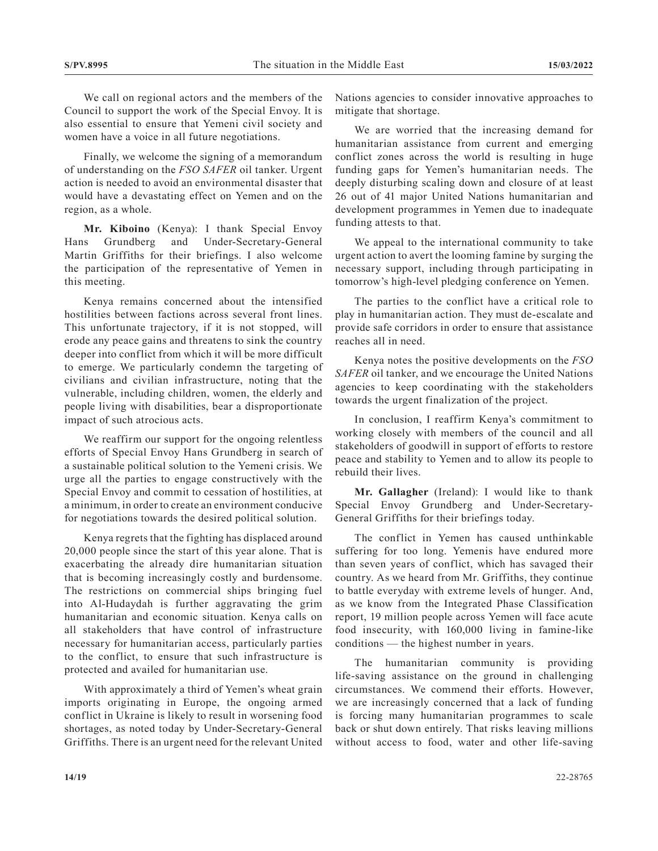We call on regional actors and the members of the Council to support the work of the Special Envoy. It is also essential to ensure that Yemeni civil society and women have a voice in all future negotiations.

Finally, we welcome the signing of a memorandum of understanding on the *FSO SAFER* oil tanker. Urgent action is needed to avoid an environmental disaster that would have a devastating effect on Yemen and on the region, as a whole.

**Mr. Kiboino** (Kenya): I thank Special Envoy Hans Grundberg and Under-Secretary-General Martin Griffiths for their briefings. I also welcome the participation of the representative of Yemen in this meeting.

Kenya remains concerned about the intensified hostilities between factions across several front lines. This unfortunate trajectory, if it is not stopped, will erode any peace gains and threatens to sink the country deeper into conflict from which it will be more difficult to emerge. We particularly condemn the targeting of civilians and civilian infrastructure, noting that the vulnerable, including children, women, the elderly and people living with disabilities, bear a disproportionate impact of such atrocious acts.

We reaffirm our support for the ongoing relentless efforts of Special Envoy Hans Grundberg in search of a sustainable political solution to the Yemeni crisis. We urge all the parties to engage constructively with the Special Envoy and commit to cessation of hostilities, at a minimum, in order to create an environment conducive for negotiations towards the desired political solution.

Kenya regrets that the fighting has displaced around 20,000 people since the start of this year alone. That is exacerbating the already dire humanitarian situation that is becoming increasingly costly and burdensome. The restrictions on commercial ships bringing fuel into Al-Hudaydah is further aggravating the grim humanitarian and economic situation. Kenya calls on all stakeholders that have control of infrastructure necessary for humanitarian access, particularly parties to the conflict, to ensure that such infrastructure is protected and availed for humanitarian use.

With approximately a third of Yemen's wheat grain imports originating in Europe, the ongoing armed conflict in Ukraine is likely to result in worsening food shortages, as noted today by Under-Secretary-General Griffiths. There is an urgent need for the relevant United

Nations agencies to consider innovative approaches to mitigate that shortage.

We are worried that the increasing demand for humanitarian assistance from current and emerging conflict zones across the world is resulting in huge funding gaps for Yemen's humanitarian needs. The deeply disturbing scaling down and closure of at least 26 out of 41 major United Nations humanitarian and development programmes in Yemen due to inadequate funding attests to that.

We appeal to the international community to take urgent action to avert the looming famine by surging the necessary support, including through participating in tomorrow's high-level pledging conference on Yemen.

The parties to the conflict have a critical role to play in humanitarian action. They must de-escalate and provide safe corridors in order to ensure that assistance reaches all in need.

Kenya notes the positive developments on the *FSO SAFER* oil tanker, and we encourage the United Nations agencies to keep coordinating with the stakeholders towards the urgent finalization of the project.

In conclusion, I reaffirm Kenya's commitment to working closely with members of the council and all stakeholders of goodwill in support of efforts to restore peace and stability to Yemen and to allow its people to rebuild their lives.

**Mr. Gallagher** (Ireland): I would like to thank Special Envoy Grundberg and Under-Secretary-General Griffiths for their briefings today.

The conflict in Yemen has caused unthinkable suffering for too long. Yemenis have endured more than seven years of conflict, which has savaged their country. As we heard from Mr. Griffiths, they continue to battle everyday with extreme levels of hunger. And, as we know from the Integrated Phase Classification report, 19 million people across Yemen will face acute food insecurity, with 160,000 living in famine-like conditions — the highest number in years.

The humanitarian community is providing life-saving assistance on the ground in challenging circumstances. We commend their efforts. However, we are increasingly concerned that a lack of funding is forcing many humanitarian programmes to scale back or shut down entirely. That risks leaving millions without access to food, water and other life-saving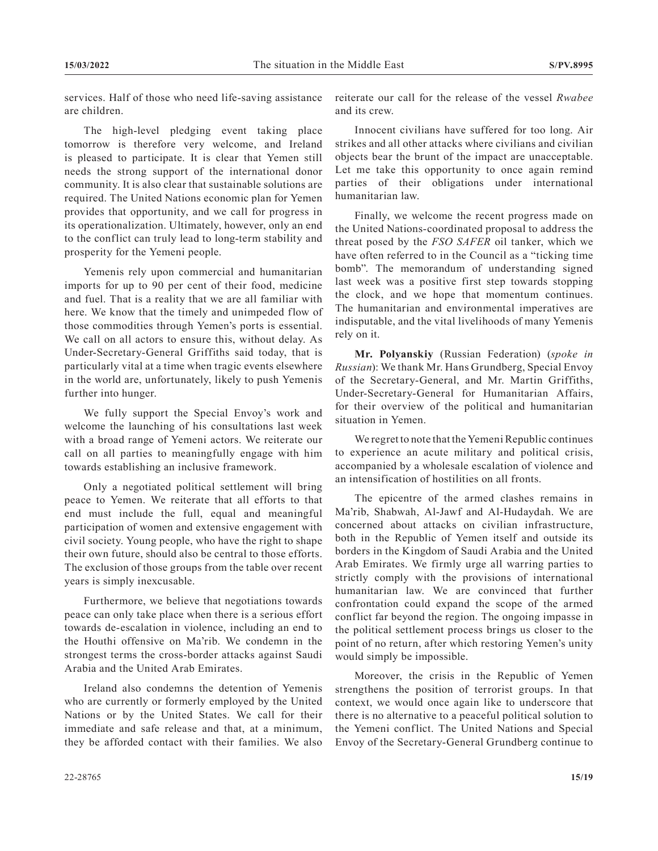services. Half of those who need life-saving assistance are children.

The high-level pledging event taking place tomorrow is therefore very welcome, and Ireland is pleased to participate. It is clear that Yemen still needs the strong support of the international donor community. It is also clear that sustainable solutions are required. The United Nations economic plan for Yemen provides that opportunity, and we call for progress in its operationalization. Ultimately, however, only an end to the conflict can truly lead to long-term stability and prosperity for the Yemeni people.

Yemenis rely upon commercial and humanitarian imports for up to 90 per cent of their food, medicine and fuel. That is a reality that we are all familiar with here. We know that the timely and unimpeded flow of those commodities through Yemen's ports is essential. We call on all actors to ensure this, without delay. As Under-Secretary-General Griffiths said today, that is particularly vital at a time when tragic events elsewhere in the world are, unfortunately, likely to push Yemenis further into hunger.

We fully support the Special Envoy's work and welcome the launching of his consultations last week with a broad range of Yemeni actors. We reiterate our call on all parties to meaningfully engage with him towards establishing an inclusive framework.

Only a negotiated political settlement will bring peace to Yemen. We reiterate that all efforts to that end must include the full, equal and meaningful participation of women and extensive engagement with civil society. Young people, who have the right to shape their own future, should also be central to those efforts. The exclusion of those groups from the table over recent years is simply inexcusable.

Furthermore, we believe that negotiations towards peace can only take place when there is a serious effort towards de-escalation in violence, including an end to the Houthi offensive on Ma'rib. We condemn in the strongest terms the cross-border attacks against Saudi Arabia and the United Arab Emirates.

Ireland also condemns the detention of Yemenis who are currently or formerly employed by the United Nations or by the United States. We call for their immediate and safe release and that, at a minimum, they be afforded contact with their families. We also

reiterate our call for the release of the vessel *Rwabee* and its crew.

Innocent civilians have suffered for too long. Air strikes and all other attacks where civilians and civilian objects bear the brunt of the impact are unacceptable. Let me take this opportunity to once again remind parties of their obligations under international humanitarian law.

Finally, we welcome the recent progress made on the United Nations-coordinated proposal to address the threat posed by the *FSO SAFER* oil tanker, which we have often referred to in the Council as a "ticking time bomb". The memorandum of understanding signed last week was a positive first step towards stopping the clock, and we hope that momentum continues. The humanitarian and environmental imperatives are indisputable, and the vital livelihoods of many Yemenis rely on it.

**Mr. Polyanskiy** (Russian Federation) (*spoke in Russian*): We thank Mr. Hans Grundberg, Special Envoy of the Secretary-General, and Mr. Martin Griffiths, Under-Secretary-General for Humanitarian Affairs, for their overview of the political and humanitarian situation in Yemen.

We regret to note that the Yemeni Republic continues to experience an acute military and political crisis, accompanied by a wholesale escalation of violence and an intensification of hostilities on all fronts.

The epicentre of the armed clashes remains in Ma'rib, Shabwah, Al-Jawf and Al-Hudaydah. We are concerned about attacks on civilian infrastructure, both in the Republic of Yemen itself and outside its borders in the Kingdom of Saudi Arabia and the United Arab Emirates. We firmly urge all warring parties to strictly comply with the provisions of international humanitarian law. We are convinced that further confrontation could expand the scope of the armed conflict far beyond the region. The ongoing impasse in the political settlement process brings us closer to the point of no return, after which restoring Yemen's unity would simply be impossible.

Moreover, the crisis in the Republic of Yemen strengthens the position of terrorist groups. In that context, we would once again like to underscore that there is no alternative to a peaceful political solution to the Yemeni conflict. The United Nations and Special Envoy of the Secretary-General Grundberg continue to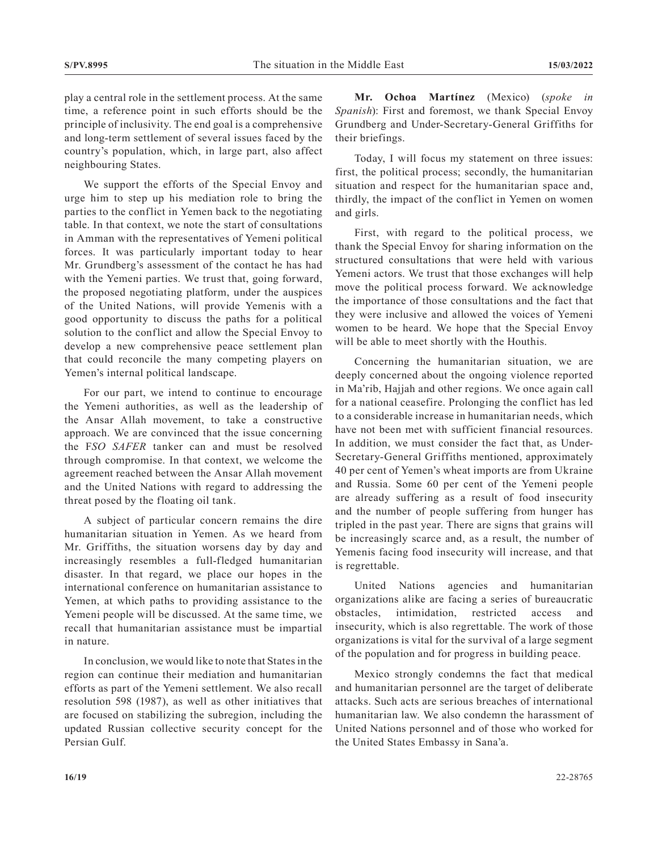play a central role in the settlement process. At the same time, a reference point in such efforts should be the principle of inclusivity. The end goal is a comprehensive and long-term settlement of several issues faced by the country's population, which, in large part, also affect neighbouring States.

We support the efforts of the Special Envoy and urge him to step up his mediation role to bring the parties to the conflict in Yemen back to the negotiating table. In that context, we note the start of consultations in Amman with the representatives of Yemeni political forces. It was particularly important today to hear Mr. Grundberg's assessment of the contact he has had with the Yemeni parties. We trust that, going forward, the proposed negotiating platform, under the auspices of the United Nations, will provide Yemenis with a good opportunity to discuss the paths for a political solution to the conflict and allow the Special Envoy to develop a new comprehensive peace settlement plan that could reconcile the many competing players on Yemen's internal political landscape.

For our part, we intend to continue to encourage the Yemeni authorities, as well as the leadership of the Ansar Allah movement, to take a constructive approach. We are convinced that the issue concerning the F*SO SAFER* tanker can and must be resolved through compromise. In that context, we welcome the agreement reached between the Ansar Allah movement and the United Nations with regard to addressing the threat posed by the floating oil tank.

A subject of particular concern remains the dire humanitarian situation in Yemen. As we heard from Mr. Griffiths, the situation worsens day by day and increasingly resembles a full-fledged humanitarian disaster. In that regard, we place our hopes in the international conference on humanitarian assistance to Yemen, at which paths to providing assistance to the Yemeni people will be discussed. At the same time, we recall that humanitarian assistance must be impartial in nature.

In conclusion, we would like to note that States in the region can continue their mediation and humanitarian efforts as part of the Yemeni settlement. We also recall resolution 598 (1987), as well as other initiatives that are focused on stabilizing the subregion, including the updated Russian collective security concept for the Persian Gulf.

**Mr. Ochoa Martínez** (Mexico) (*spoke in Spanish*): First and foremost, we thank Special Envoy Grundberg and Under-Secretary-General Griffiths for their briefings.

Today, I will focus my statement on three issues: first, the political process; secondly, the humanitarian situation and respect for the humanitarian space and, thirdly, the impact of the conflict in Yemen on women and girls.

First, with regard to the political process, we thank the Special Envoy for sharing information on the structured consultations that were held with various Yemeni actors. We trust that those exchanges will help move the political process forward. We acknowledge the importance of those consultations and the fact that they were inclusive and allowed the voices of Yemeni women to be heard. We hope that the Special Envoy will be able to meet shortly with the Houthis.

Concerning the humanitarian situation, we are deeply concerned about the ongoing violence reported in Ma'rib, Hajjah and other regions. We once again call for a national ceasefire. Prolonging the conflict has led to a considerable increase in humanitarian needs, which have not been met with sufficient financial resources. In addition, we must consider the fact that, as Under-Secretary-General Griffiths mentioned, approximately 40 per cent of Yemen's wheat imports are from Ukraine and Russia. Some 60 per cent of the Yemeni people are already suffering as a result of food insecurity and the number of people suffering from hunger has tripled in the past year. There are signs that grains will be increasingly scarce and, as a result, the number of Yemenis facing food insecurity will increase, and that is regrettable.

United Nations agencies and humanitarian organizations alike are facing a series of bureaucratic obstacles, intimidation, restricted access and insecurity, which is also regrettable. The work of those organizations is vital for the survival of a large segment of the population and for progress in building peace.

Mexico strongly condemns the fact that medical and humanitarian personnel are the target of deliberate attacks. Such acts are serious breaches of international humanitarian law. We also condemn the harassment of United Nations personnel and of those who worked for the United States Embassy in Sana'a.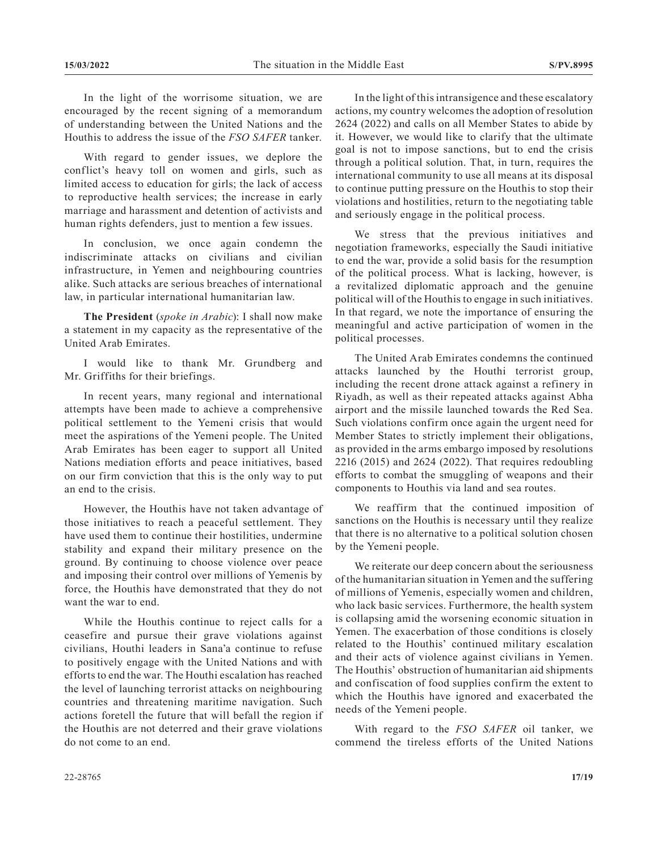In the light of the worrisome situation, we are encouraged by the recent signing of a memorandum of understanding between the United Nations and the Houthis to address the issue of the *FSO SAFER* tanker.

With regard to gender issues, we deplore the conflict's heavy toll on women and girls, such as limited access to education for girls; the lack of access to reproductive health services; the increase in early marriage and harassment and detention of activists and human rights defenders, just to mention a few issues.

In conclusion, we once again condemn the indiscriminate attacks on civilians and civilian infrastructure, in Yemen and neighbouring countries alike. Such attacks are serious breaches of international law, in particular international humanitarian law.

**The President** (*spoke in Arabic*): I shall now make a statement in my capacity as the representative of the United Arab Emirates.

I would like to thank Mr. Grundberg and Mr. Griffiths for their briefings.

In recent years, many regional and international attempts have been made to achieve a comprehensive political settlement to the Yemeni crisis that would meet the aspirations of the Yemeni people. The United Arab Emirates has been eager to support all United Nations mediation efforts and peace initiatives, based on our firm conviction that this is the only way to put an end to the crisis.

However, the Houthis have not taken advantage of those initiatives to reach a peaceful settlement. They have used them to continue their hostilities, undermine stability and expand their military presence on the ground. By continuing to choose violence over peace and imposing their control over millions of Yemenis by force, the Houthis have demonstrated that they do not want the war to end.

While the Houthis continue to reject calls for a ceasefire and pursue their grave violations against civilians, Houthi leaders in Sana'a continue to refuse to positively engage with the United Nations and with efforts to end the war. The Houthi escalation has reached the level of launching terrorist attacks on neighbouring countries and threatening maritime navigation. Such actions foretell the future that will befall the region if the Houthis are not deterred and their grave violations do not come to an end.

In the light of this intransigence and these escalatory actions, my country welcomes the adoption of resolution 2624 (2022) and calls on all Member States to abide by it. However, we would like to clarify that the ultimate goal is not to impose sanctions, but to end the crisis through a political solution. That, in turn, requires the international community to use all means at its disposal to continue putting pressure on the Houthis to stop their violations and hostilities, return to the negotiating table and seriously engage in the political process.

We stress that the previous initiatives and negotiation frameworks, especially the Saudi initiative to end the war, provide a solid basis for the resumption of the political process. What is lacking, however, is a revitalized diplomatic approach and the genuine political will of the Houthis to engage in such initiatives. In that regard, we note the importance of ensuring the meaningful and active participation of women in the political processes.

The United Arab Emirates condemns the continued attacks launched by the Houthi terrorist group, including the recent drone attack against a refinery in Riyadh, as well as their repeated attacks against Abha airport and the missile launched towards the Red Sea. Such violations confirm once again the urgent need for Member States to strictly implement their obligations, as provided in the arms embargo imposed by resolutions 2216 (2015) and 2624 (2022). That requires redoubling efforts to combat the smuggling of weapons and their components to Houthis via land and sea routes.

We reaffirm that the continued imposition of sanctions on the Houthis is necessary until they realize that there is no alternative to a political solution chosen by the Yemeni people.

We reiterate our deep concern about the seriousness of the humanitarian situation in Yemen and the suffering of millions of Yemenis, especially women and children, who lack basic services. Furthermore, the health system is collapsing amid the worsening economic situation in Yemen. The exacerbation of those conditions is closely related to the Houthis' continued military escalation and their acts of violence against civilians in Yemen. The Houthis' obstruction of humanitarian aid shipments and confiscation of food supplies confirm the extent to which the Houthis have ignored and exacerbated the needs of the Yemeni people.

With regard to the *FSO SAFER* oil tanker, we commend the tireless efforts of the United Nations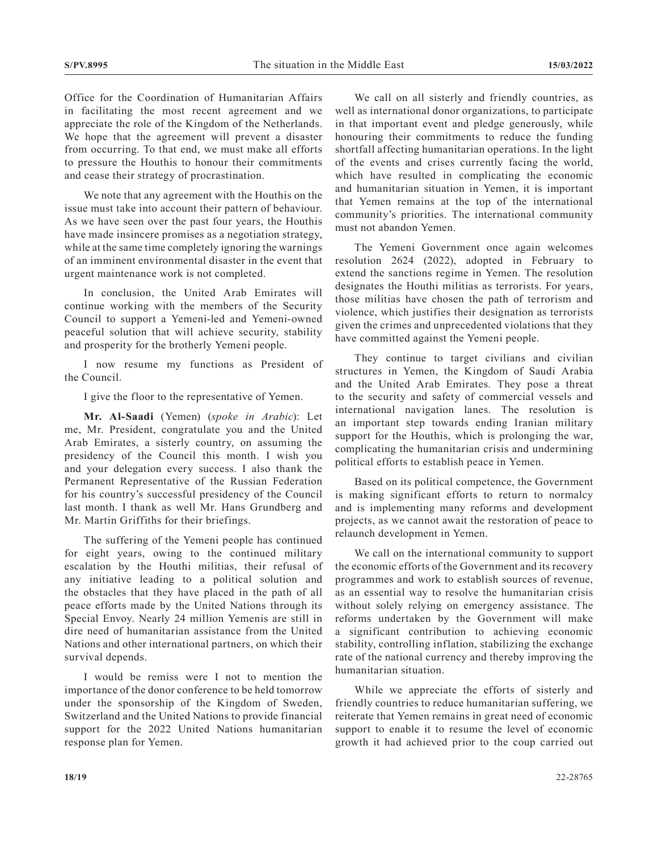Office for the Coordination of Humanitarian Affairs in facilitating the most recent agreement and we appreciate the role of the Kingdom of the Netherlands. We hope that the agreement will prevent a disaster from occurring. To that end, we must make all efforts to pressure the Houthis to honour their commitments and cease their strategy of procrastination.

We note that any agreement with the Houthis on the issue must take into account their pattern of behaviour. As we have seen over the past four years, the Houthis have made insincere promises as a negotiation strategy, while at the same time completely ignoring the warnings of an imminent environmental disaster in the event that urgent maintenance work is not completed.

In conclusion, the United Arab Emirates will continue working with the members of the Security Council to support a Yemeni-led and Yemeni-owned peaceful solution that will achieve security, stability and prosperity for the brotherly Yemeni people.

I now resume my functions as President of the Council.

I give the floor to the representative of Yemen.

**Mr. Al-Saadi** (Yemen) (*spoke in Arabic*): Let me, Mr. President, congratulate you and the United Arab Emirates, a sisterly country, on assuming the presidency of the Council this month. I wish you and your delegation every success. I also thank the Permanent Representative of the Russian Federation for his country's successful presidency of the Council last month. I thank as well Mr. Hans Grundberg and Mr. Martin Griffiths for their briefings.

The suffering of the Yemeni people has continued for eight years, owing to the continued military escalation by the Houthi militias, their refusal of any initiative leading to a political solution and the obstacles that they have placed in the path of all peace efforts made by the United Nations through its Special Envoy. Nearly 24 million Yemenis are still in dire need of humanitarian assistance from the United Nations and other international partners, on which their survival depends.

I would be remiss were I not to mention the importance of the donor conference to be held tomorrow under the sponsorship of the Kingdom of Sweden, Switzerland and the United Nations to provide financial support for the 2022 United Nations humanitarian response plan for Yemen.

We call on all sisterly and friendly countries, as well as international donor organizations, to participate in that important event and pledge generously, while honouring their commitments to reduce the funding shortfall affecting humanitarian operations. In the light of the events and crises currently facing the world, which have resulted in complicating the economic and humanitarian situation in Yemen, it is important that Yemen remains at the top of the international community's priorities. The international community must not abandon Yemen.

The Yemeni Government once again welcomes resolution 2624 (2022), adopted in February to extend the sanctions regime in Yemen. The resolution designates the Houthi militias as terrorists. For years, those militias have chosen the path of terrorism and violence, which justifies their designation as terrorists given the crimes and unprecedented violations that they have committed against the Yemeni people.

They continue to target civilians and civilian structures in Yemen, the Kingdom of Saudi Arabia and the United Arab Emirates. They pose a threat to the security and safety of commercial vessels and international navigation lanes. The resolution is an important step towards ending Iranian military support for the Houthis, which is prolonging the war, complicating the humanitarian crisis and undermining political efforts to establish peace in Yemen.

Based on its political competence, the Government is making significant efforts to return to normalcy and is implementing many reforms and development projects, as we cannot await the restoration of peace to relaunch development in Yemen.

We call on the international community to support the economic efforts of the Government and its recovery programmes and work to establish sources of revenue, as an essential way to resolve the humanitarian crisis without solely relying on emergency assistance. The reforms undertaken by the Government will make a significant contribution to achieving economic stability, controlling inflation, stabilizing the exchange rate of the national currency and thereby improving the humanitarian situation.

While we appreciate the efforts of sisterly and friendly countries to reduce humanitarian suffering, we reiterate that Yemen remains in great need of economic support to enable it to resume the level of economic growth it had achieved prior to the coup carried out